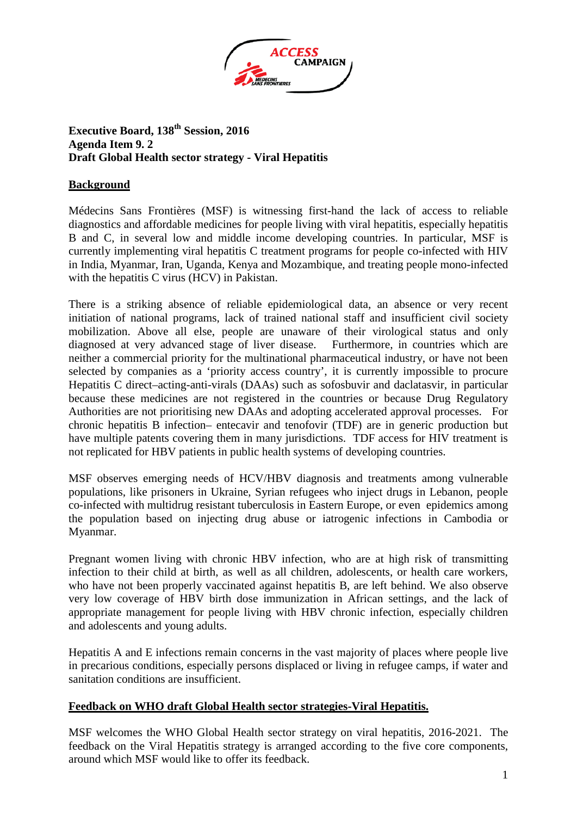

# **Executive Board, 138th Session, 2016 Agenda Item 9. 2 Draft Global Health sector strategy - Viral Hepatitis**

# **Background**

Médecins Sans Frontières (MSF) is witnessing first-hand the lack of access to reliable diagnostics and affordable medicines for people living with viral hepatitis, especially hepatitis B and C, in several low and middle income developing countries. In particular, MSF is currently implementing viral hepatitis C treatment programs for people co-infected with HIV in India, Myanmar, Iran, Uganda, Kenya and Mozambique, and treating people mono-infected with the hepatitis C virus (HCV) in Pakistan.

There is a striking absence of reliable epidemiological data, an absence or very recent initiation of national programs, lack of trained national staff and insufficient civil society mobilization. Above all else, people are unaware of their virological status and only diagnosed at very advanced stage of liver disease. Furthermore, in countries which are neither a commercial priority for the multinational pharmaceutical industry, or have not been selected by companies as a 'priority access country', it is currently impossible to procure Hepatitis C direct–acting-anti-virals (DAAs) such as sofosbuvir and daclatasvir, in particular because these medicines are not registered in the countries or because Drug Regulatory Authorities are not prioritising new DAAs and adopting accelerated approval processes. For chronic hepatitis B infection– entecavir and tenofovir (TDF) are in generic production but have multiple patents covering them in many jurisdictions. TDF access for HIV treatment is not replicated for HBV patients in public health systems of developing countries.

MSF observes emerging needs of HCV/HBV diagnosis and treatments among vulnerable populations, like prisoners in Ukraine, Syrian refugees who inject drugs in Lebanon, people co-infected with multidrug resistant tuberculosis in Eastern Europe, or even epidemics among the population based on injecting drug abuse or iatrogenic infections in Cambodia or Myanmar.

Pregnant women living with chronic HBV infection, who are at high risk of transmitting infection to their child at birth, as well as all children, adolescents, or health care workers, who have not been properly vaccinated against hepatitis B, are left behind. We also observe very low coverage of HBV birth dose immunization in African settings, and the lack of appropriate management for people living with HBV chronic infection, especially children and adolescents and young adults.

Hepatitis A and E infections remain concerns in the vast majority of places where people live in precarious conditions, especially persons displaced or living in refugee camps, if water and sanitation conditions are insufficient.

### **Feedback on WHO draft Global Health sector strategies-Viral Hepatitis.**

MSF welcomes the WHO Global Health sector strategy on viral hepatitis, 2016-2021. The feedback on the Viral Hepatitis strategy is arranged according to the five core components, around which MSF would like to offer its feedback.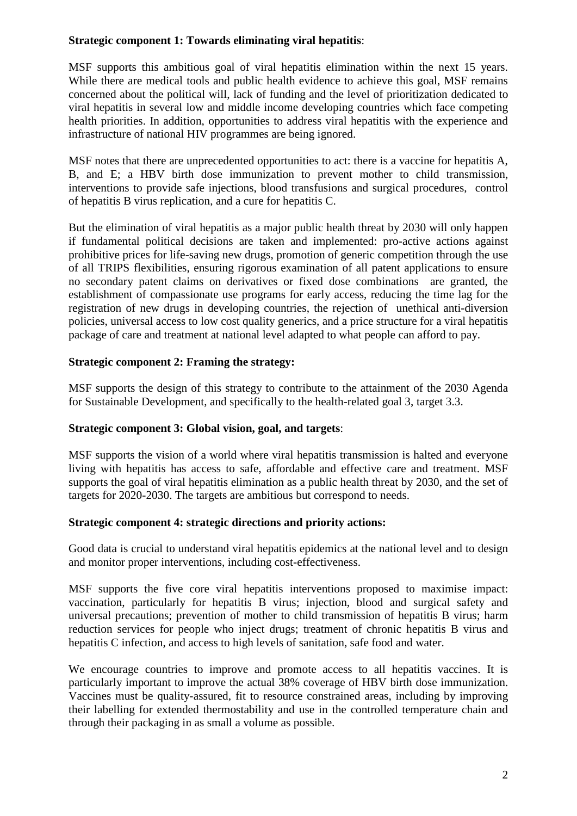### **Strategic component 1: Towards eliminating viral hepatitis**:

MSF supports this ambitious goal of viral hepatitis elimination within the next 15 years. While there are medical tools and public health evidence to achieve this goal, MSF remains concerned about the political will, lack of funding and the level of prioritization dedicated to viral hepatitis in several low and middle income developing countries which face competing health priorities. In addition, opportunities to address viral hepatitis with the experience and infrastructure of national HIV programmes are being ignored.

MSF notes that there are unprecedented opportunities to act: there is a vaccine for hepatitis A, B, and E; a HBV birth dose immunization to prevent mother to child transmission, interventions to provide safe injections, blood transfusions and surgical procedures, control of hepatitis B virus replication, and a cure for hepatitis C.

But the elimination of viral hepatitis as a major public health threat by 2030 will only happen if fundamental political decisions are taken and implemented: pro-active actions against prohibitive prices for life-saving new drugs, promotion of generic competition through the use of all TRIPS flexibilities, ensuring rigorous examination of all patent applications to ensure no secondary patent claims on derivatives or fixed dose combinations are granted, the establishment of compassionate use programs for early access, reducing the time lag for the registration of new drugs in developing countries, the rejection of unethical anti-diversion policies, universal access to low cost quality generics, and a price structure for a viral hepatitis package of care and treatment at national level adapted to what people can afford to pay.

### **Strategic component 2: Framing the strategy:**

MSF supports the design of this strategy to contribute to the attainment of the 2030 Agenda for Sustainable Development, and specifically to the health-related goal 3, target 3.3.

### **Strategic component 3: Global vision, goal, and targets**:

MSF supports the vision of a world where viral hepatitis transmission is halted and everyone living with hepatitis has access to safe, affordable and effective care and treatment. MSF supports the goal of viral hepatitis elimination as a public health threat by 2030, and the set of targets for 2020-2030. The targets are ambitious but correspond to needs.

### **Strategic component 4: strategic directions and priority actions:**

Good data is crucial to understand viral hepatitis epidemics at the national level and to design and monitor proper interventions, including cost-effectiveness.

MSF supports the five core viral hepatitis interventions proposed to maximise impact: vaccination, particularly for hepatitis B virus; injection, blood and surgical safety and universal precautions; prevention of mother to child transmission of hepatitis B virus; harm reduction services for people who inject drugs; treatment of chronic hepatitis B virus and hepatitis C infection, and access to high levels of sanitation, safe food and water.

We encourage countries to improve and promote access to all hepatitis vaccines. It is particularly important to improve the actual 38% coverage of HBV birth dose immunization. Vaccines must be quality-assured, fit to resource constrained areas, including by improving their labelling for extended thermostability and use in the controlled temperature chain and through their packaging in as small a volume as possible.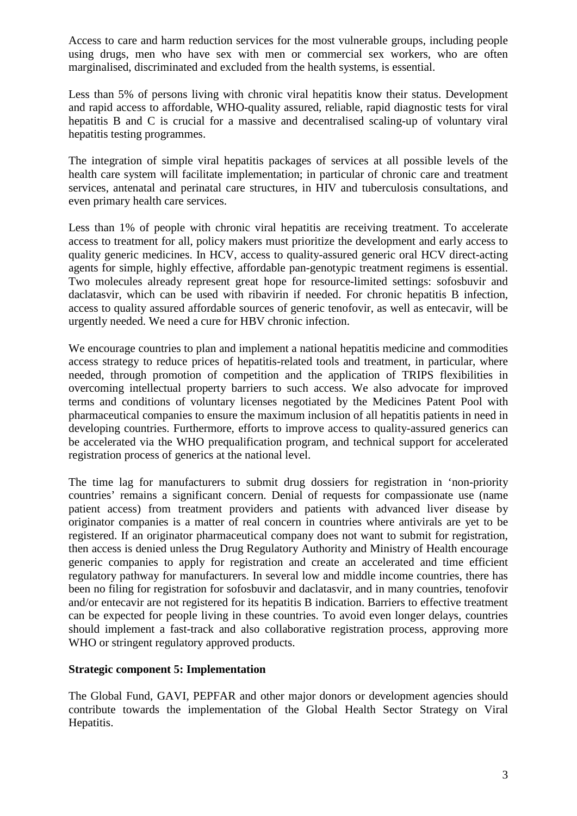Access to care and harm reduction services for the most vulnerable groups, including people using drugs, men who have sex with men or commercial sex workers, who are often marginalised, discriminated and excluded from the health systems, is essential.

Less than 5% of persons living with chronic viral hepatitis know their status. Development and rapid access to affordable, WHO-quality assured, reliable, rapid diagnostic tests for viral hepatitis B and C is crucial for a massive and decentralised scaling-up of voluntary viral hepatitis testing programmes.

The integration of simple viral hepatitis packages of services at all possible levels of the health care system will facilitate implementation; in particular of chronic care and treatment services, antenatal and perinatal care structures, in HIV and tuberculosis consultations, and even primary health care services.

Less than 1% of people with chronic viral hepatitis are receiving treatment. To accelerate access to treatment for all, policy makers must prioritize the development and early access to quality generic medicines. In HCV, access to quality-assured generic oral HCV direct-acting agents for simple, highly effective, affordable pan-genotypic treatment regimens is essential. Two molecules already represent great hope for resource-limited settings: sofosbuvir and daclatasvir, which can be used with ribavirin if needed. For chronic hepatitis B infection, access to quality assured affordable sources of generic tenofovir, as well as entecavir, will be urgently needed. We need a cure for HBV chronic infection.

We encourage countries to plan and implement a national hepatitis medicine and commodities access strategy to reduce prices of hepatitis-related tools and treatment, in particular, where needed, through promotion of competition and the application of TRIPS flexibilities in overcoming intellectual property barriers to such access. We also advocate for improved terms and conditions of voluntary licenses negotiated by the Medicines Patent Pool with pharmaceutical companies to ensure the maximum inclusion of all hepatitis patients in need in developing countries. Furthermore, efforts to improve access to quality-assured generics can be accelerated via the WHO prequalification program, and technical support for accelerated registration process of generics at the national level.

The time lag for manufacturers to submit drug dossiers for registration in 'non-priority countries' remains a significant concern. Denial of requests for compassionate use (name patient access) from treatment providers and patients with advanced liver disease by originator companies is a matter of real concern in countries where antivirals are yet to be registered. If an originator pharmaceutical company does not want to submit for registration, then access is denied unless the Drug Regulatory Authority and Ministry of Health encourage generic companies to apply for registration and create an accelerated and time efficient regulatory pathway for manufacturers. In several low and middle income countries, there has been no filing for registration for sofosbuvir and daclatasvir, and in many countries, tenofovir and/or entecavir are not registered for its hepatitis B indication. Barriers to effective treatment can be expected for people living in these countries. To avoid even longer delays, countries should implement a fast-track and also collaborative registration process, approving more WHO or stringent regulatory approved products.

### **Strategic component 5: Implementation**

The Global Fund, GAVI, PEPFAR and other major donors or development agencies should contribute towards the implementation of the Global Health Sector Strategy on Viral Hepatitis.